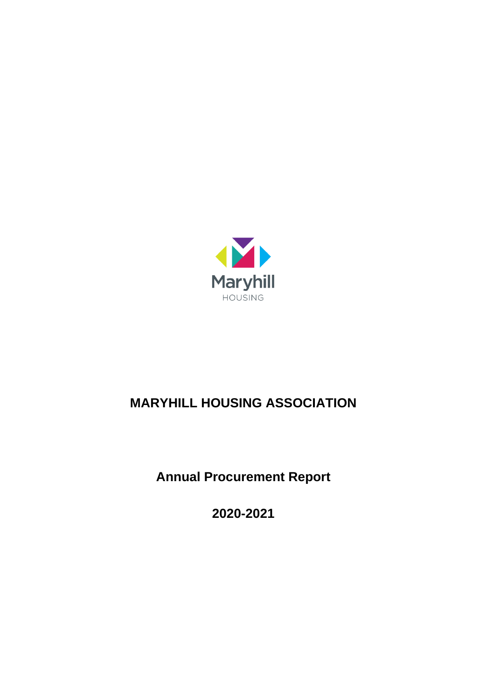

# **MARYHILL HOUSING ASSOCIATION**

**Annual Procurement Report**

**2020-2021**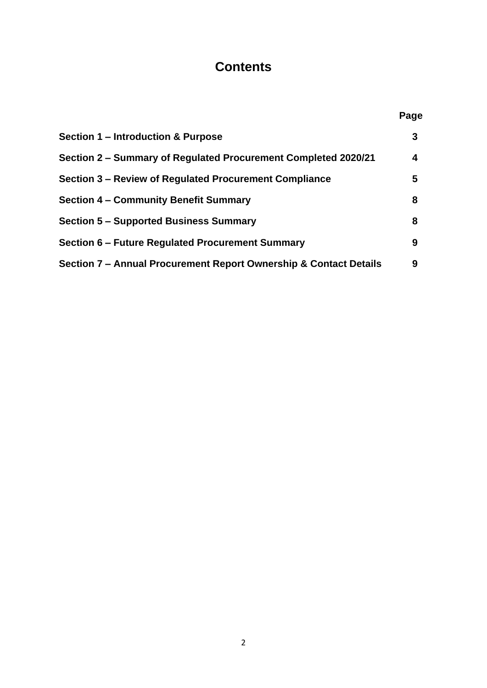# **Contents**

|                                                                   | Page |
|-------------------------------------------------------------------|------|
| Section 1 – Introduction & Purpose                                | 3    |
| Section 2 – Summary of Regulated Procurement Completed 2020/21    | 4    |
| Section 3 – Review of Regulated Procurement Compliance            | 5    |
| <b>Section 4 - Community Benefit Summary</b>                      | 8    |
| <b>Section 5 – Supported Business Summary</b>                     | 8    |
| Section 6 – Future Regulated Procurement Summary                  | 9    |
| Section 7 – Annual Procurement Report Ownership & Contact Details | 9    |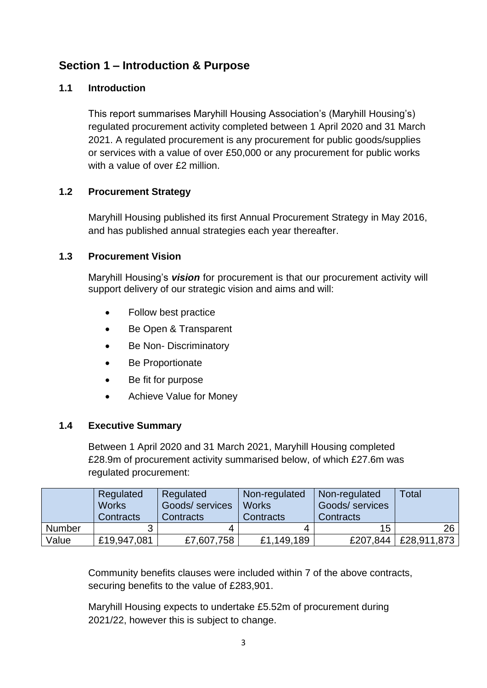# **Section 1 – Introduction & Purpose**

### **1.1 Introduction**

This report summarises Maryhill Housing Association's (Maryhill Housing's) regulated procurement activity completed between 1 April 2020 and 31 March 2021. A regulated procurement is any procurement for public goods/supplies or services with a value of over £50,000 or any procurement for public works with a value of over £2 million.

### **1.2 Procurement Strategy**

Maryhill Housing published its first Annual Procurement Strategy in May 2016, and has published annual strategies each year thereafter.

### **1.3 Procurement Vision**

Maryhill Housing's *vision* for procurement is that our procurement activity will support delivery of our strategic vision and aims and will:

- Follow best practice
- Be Open & Transparent
- Be Non-Discriminatory
- Be Proportionate
- Be fit for purpose
- Achieve Value for Money

#### **1.4 Executive Summary**

Between 1 April 2020 and 31 March 2021, Maryhill Housing completed £28.9m of procurement activity summarised below, of which £27.6m was regulated procurement:

|               | Regulated<br><b>Works</b><br>Contracts | Regulated<br>Goods/ services<br>Contracts | Non-regulated<br><b>Works</b><br>Contracts | Non-regulated<br>Goods/ services<br>Contracts | Total       |
|---------------|----------------------------------------|-------------------------------------------|--------------------------------------------|-----------------------------------------------|-------------|
| <b>Number</b> |                                        | 4                                         | 4                                          | 15                                            | 26          |
| Value         | £19,947,081                            | £7,607,758                                | £1,149,189                                 | £207,844                                      | £28,911,873 |

Community benefits clauses were included within 7 of the above contracts, securing benefits to the value of £283,901.

Maryhill Housing expects to undertake £5.52m of procurement during 2021/22, however this is subject to change.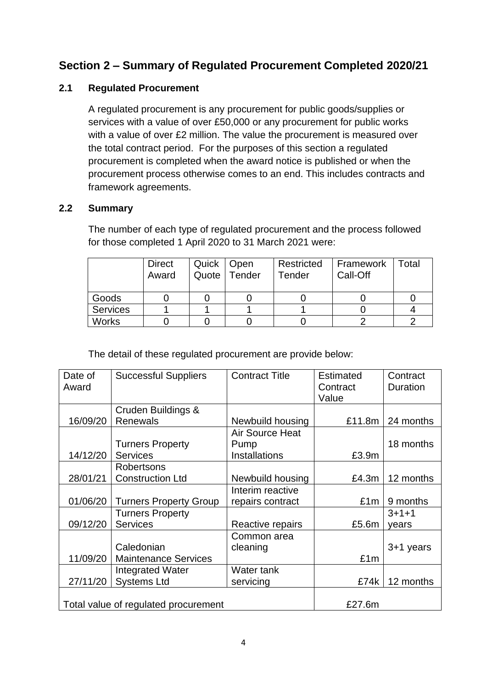# **Section 2 – Summary of Regulated Procurement Completed 2020/21**

### **2.1 Regulated Procurement**

A regulated procurement is any procurement for public goods/supplies or services with a value of over £50,000 or any procurement for public works with a value of over £2 million. The value the procurement is measured over the total contract period. For the purposes of this section a regulated procurement is completed when the award notice is published or when the procurement process otherwise comes to an end. This includes contracts and framework agreements.

### **2.2 Summary**

The number of each type of regulated procurement and the process followed for those completed 1 April 2020 to 31 March 2021 were:

|              | <b>Direct</b><br>Award | Quick   Open<br>Quote | Tender | Restricted<br><b>Tender</b> | Framework<br>Call-Off | <sup>-</sup> otal |
|--------------|------------------------|-----------------------|--------|-----------------------------|-----------------------|-------------------|
| Goods        |                        |                       |        |                             |                       |                   |
| Services     |                        |                       |        |                             |                       |                   |
| <b>Works</b> |                        |                       |        |                             |                       |                   |

The detail of these regulated procurement are provide below:

| Date of                                        | <b>Successful Suppliers</b>   | <b>Contract Title</b> | <b>Estimated</b> | Contract    |
|------------------------------------------------|-------------------------------|-----------------------|------------------|-------------|
| Award                                          |                               |                       | Contract         | Duration    |
|                                                |                               |                       | Value            |             |
|                                                | Cruden Buildings &            |                       |                  |             |
| 16/09/20                                       | <b>Renewals</b>               | Newbuild housing      | £11.8m           | 24 months   |
|                                                |                               | Air Source Heat       |                  |             |
|                                                | <b>Turners Property</b>       | Pump                  |                  | 18 months   |
| 14/12/20                                       | <b>Services</b>               | Installations         | £3.9m            |             |
|                                                | Robertsons                    |                       |                  |             |
| 28/01/21                                       | <b>Construction Ltd</b>       | Newbuild housing      | £4.3m            | 12 months   |
|                                                |                               | Interim reactive      |                  |             |
| 01/06/20                                       | <b>Turners Property Group</b> | repairs contract      | £1m              | 9 months    |
|                                                | <b>Turners Property</b>       |                       |                  | $3 + 1 + 1$ |
| 09/12/20                                       | <b>Services</b>               | Reactive repairs      | £5.6m            | years       |
|                                                |                               | Common area           |                  |             |
|                                                | Caledonian                    | cleaning              |                  | $3+1$ years |
| 11/09/20                                       | <b>Maintenance Services</b>   |                       | £1m              |             |
|                                                | Integrated Water              | Water tank            |                  |             |
| 27/11/20                                       | <b>Systems Ltd</b>            | servicing             | £74k             | 12 months   |
|                                                |                               |                       |                  |             |
| £27.6m<br>Total value of regulated procurement |                               |                       |                  |             |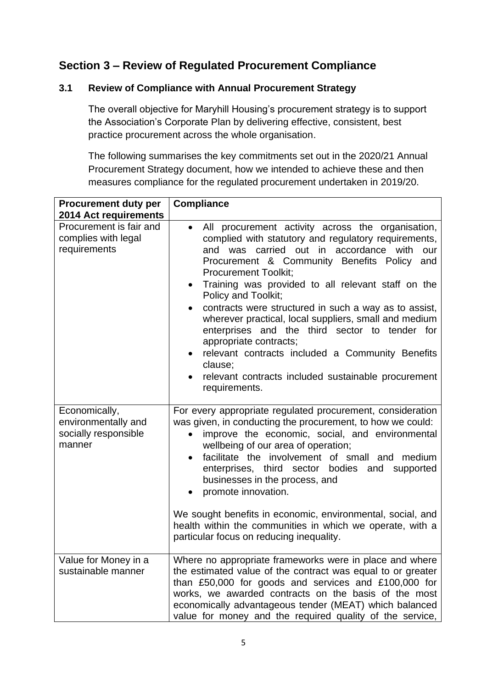# **Section 3 – Review of Regulated Procurement Compliance**

### **3.1 Review of Compliance with Annual Procurement Strategy**

The overall objective for Maryhill Housing's procurement strategy is to support the Association's Corporate Plan by delivering effective, consistent, best practice procurement across the whole organisation.

The following summarises the key commitments set out in the 2020/21 Annual Procurement Strategy document, how we intended to achieve these and then measures compliance for the regulated procurement undertaken in 2019/20.

| <b>Procurement duty per</b><br><b>2014 Act requirements</b>            | <b>Compliance</b>                                                                                                                                                                                                                                                                                                                                                                                                                                                                                                                                                                                                                                                                                                 |
|------------------------------------------------------------------------|-------------------------------------------------------------------------------------------------------------------------------------------------------------------------------------------------------------------------------------------------------------------------------------------------------------------------------------------------------------------------------------------------------------------------------------------------------------------------------------------------------------------------------------------------------------------------------------------------------------------------------------------------------------------------------------------------------------------|
| Procurement is fair and<br>complies with legal<br>requirements         | All procurement activity across the organisation,<br>$\bullet$<br>complied with statutory and regulatory requirements,<br>and was carried out in accordance with<br>our<br>Procurement & Community Benefits Policy<br>and<br><b>Procurement Toolkit;</b><br>Training was provided to all relevant staff on the<br>$\bullet$<br>Policy and Toolkit;<br>contracts were structured in such a way as to assist,<br>$\bullet$<br>wherever practical, local suppliers, small and medium<br>enterprises and the third sector to tender for<br>appropriate contracts;<br>relevant contracts included a Community Benefits<br>$\bullet$<br>clause;<br>relevant contracts included sustainable procurement<br>requirements. |
| Economically,<br>environmentally and<br>socially responsible<br>manner | For every appropriate regulated procurement, consideration<br>was given, in conducting the procurement, to how we could:<br>improve the economic, social, and environmental<br>$\bullet$<br>wellbeing of our area of operation;<br>facilitate the involvement of small and medium<br>$\bullet$<br>enterprises, third sector bodies and supported<br>businesses in the process, and<br>promote innovation.<br>We sought benefits in economic, environmental, social, and<br>health within the communities in which we operate, with a<br>particular focus on reducing inequality.                                                                                                                                  |
| Value for Money in a<br>sustainable manner                             | Where no appropriate frameworks were in place and where<br>the estimated value of the contract was equal to or greater<br>than £50,000 for goods and services and £100,000 for<br>works, we awarded contracts on the basis of the most<br>economically advantageous tender (MEAT) which balanced<br>value for money and the required quality of the service,                                                                                                                                                                                                                                                                                                                                                      |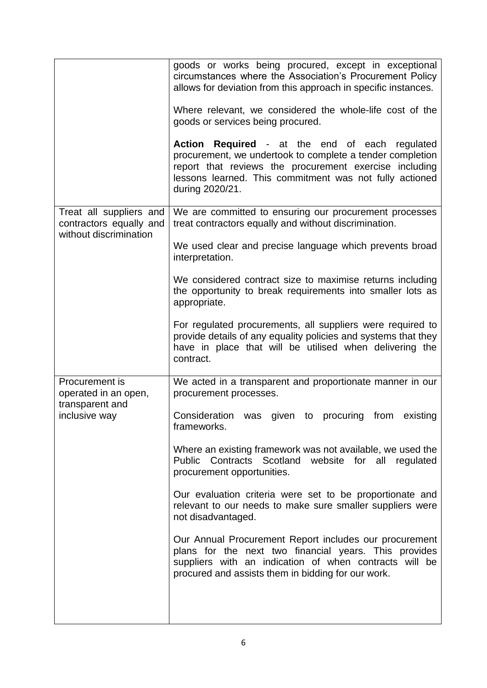|                                                                              | goods or works being procured, except in exceptional<br>circumstances where the Association's Procurement Policy<br>allows for deviation from this approach in specific instances.<br>Where relevant, we considered the whole-life cost of the<br>goods or services being procured.<br>Action Required - at the end of each regulated<br>procurement, we undertook to complete a tender completion<br>report that reviews the procurement exercise including<br>lessons learned. This commitment was not fully actioned<br>during 2020/21. |
|------------------------------------------------------------------------------|--------------------------------------------------------------------------------------------------------------------------------------------------------------------------------------------------------------------------------------------------------------------------------------------------------------------------------------------------------------------------------------------------------------------------------------------------------------------------------------------------------------------------------------------|
| Treat all suppliers and<br>contractors equally and<br>without discrimination | We are committed to ensuring our procurement processes<br>treat contractors equally and without discrimination.<br>We used clear and precise language which prevents broad<br>interpretation.                                                                                                                                                                                                                                                                                                                                              |
|                                                                              | We considered contract size to maximise returns including<br>the opportunity to break requirements into smaller lots as<br>appropriate.                                                                                                                                                                                                                                                                                                                                                                                                    |
|                                                                              | For regulated procurements, all suppliers were required to<br>provide details of any equality policies and systems that they<br>have in place that will be utilised when delivering the<br>contract.                                                                                                                                                                                                                                                                                                                                       |
| Procurement is<br>operated in an open,                                       | We acted in a transparent and proportionate manner in our<br>procurement processes.                                                                                                                                                                                                                                                                                                                                                                                                                                                        |
| transparent and<br>inclusive way                                             | Consideration was given to procuring from<br>existing<br>frameworks.                                                                                                                                                                                                                                                                                                                                                                                                                                                                       |
|                                                                              | Where an existing framework was not available, we used the<br>Public Contracts Scotland<br>website for all<br>regulated<br>procurement opportunities.                                                                                                                                                                                                                                                                                                                                                                                      |
|                                                                              | Our evaluation criteria were set to be proportionate and<br>relevant to our needs to make sure smaller suppliers were<br>not disadvantaged.                                                                                                                                                                                                                                                                                                                                                                                                |
|                                                                              | Our Annual Procurement Report includes our procurement<br>plans for the next two financial years. This provides<br>suppliers with an indication of when contracts will be<br>procured and assists them in bidding for our work.                                                                                                                                                                                                                                                                                                            |
|                                                                              |                                                                                                                                                                                                                                                                                                                                                                                                                                                                                                                                            |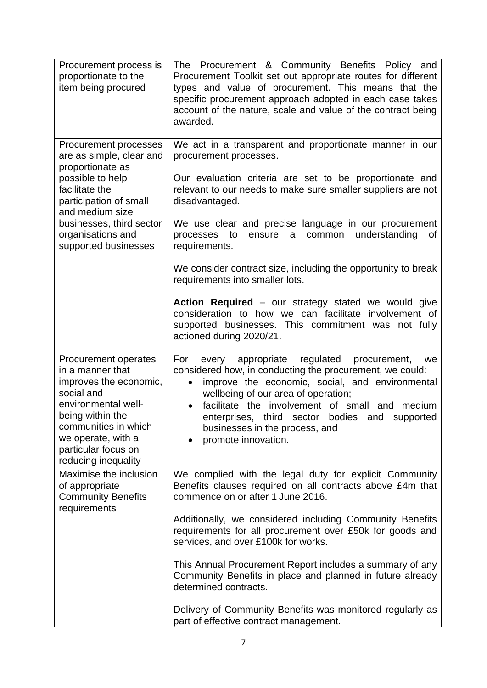| Procurement process is<br>proportionate to the<br>item being procured                                                                                                                                                   | The Procurement & Community Benefits Policy and<br>Procurement Toolkit set out appropriate routes for different<br>types and value of procurement. This means that the<br>specific procurement approach adopted in each case takes<br>account of the nature, scale and value of the contract being<br>awarded.                                                                                       |  |  |  |
|-------------------------------------------------------------------------------------------------------------------------------------------------------------------------------------------------------------------------|------------------------------------------------------------------------------------------------------------------------------------------------------------------------------------------------------------------------------------------------------------------------------------------------------------------------------------------------------------------------------------------------------|--|--|--|
| Procurement processes<br>are as simple, clear and<br>proportionate as<br>possible to help<br>facilitate the<br>participation of small<br>and medium size<br>businesses, third sector<br>organisations and               | We act in a transparent and proportionate manner in our<br>procurement processes.<br>Our evaluation criteria are set to be proportionate and<br>relevant to our needs to make sure smaller suppliers are not<br>disadvantaged.<br>We use clear and precise language in our procurement<br>understanding<br>processes<br>to<br>common<br>ensure<br>a<br>οf                                            |  |  |  |
| supported businesses                                                                                                                                                                                                    | requirements.<br>We consider contract size, including the opportunity to break<br>requirements into smaller lots.                                                                                                                                                                                                                                                                                    |  |  |  |
|                                                                                                                                                                                                                         | Action Required - our strategy stated we would give<br>consideration to how we can facilitate involvement of<br>supported businesses. This commitment was not fully<br>actioned during 2020/21.                                                                                                                                                                                                      |  |  |  |
| Procurement operates<br>in a manner that<br>improves the economic,<br>social and<br>environmental well-<br>being within the<br>communities in which<br>we operate, with a<br>particular focus on<br>reducing inequality | every appropriate regulated<br>For<br>procurement,<br>we<br>considered how, in conducting the procurement, we could:<br>improve the economic, social, and environmental<br>$\bullet$<br>wellbeing of our area of operation;<br>facilitate the involvement of small and<br>medium<br>enterprises, third sector<br>bodies<br>and<br>supported<br>businesses in the process, and<br>promote innovation. |  |  |  |
| Maximise the inclusion<br>of appropriate<br><b>Community Benefits</b><br>requirements                                                                                                                                   | We complied with the legal duty for explicit Community<br>Benefits clauses required on all contracts above £4m that<br>commence on or after 1 June 2016.                                                                                                                                                                                                                                             |  |  |  |
|                                                                                                                                                                                                                         | Additionally, we considered including Community Benefits<br>requirements for all procurement over £50k for goods and<br>services, and over £100k for works.                                                                                                                                                                                                                                          |  |  |  |
|                                                                                                                                                                                                                         | This Annual Procurement Report includes a summary of any<br>Community Benefits in place and planned in future already<br>determined contracts.                                                                                                                                                                                                                                                       |  |  |  |
|                                                                                                                                                                                                                         | Delivery of Community Benefits was monitored regularly as<br>part of effective contract management.                                                                                                                                                                                                                                                                                                  |  |  |  |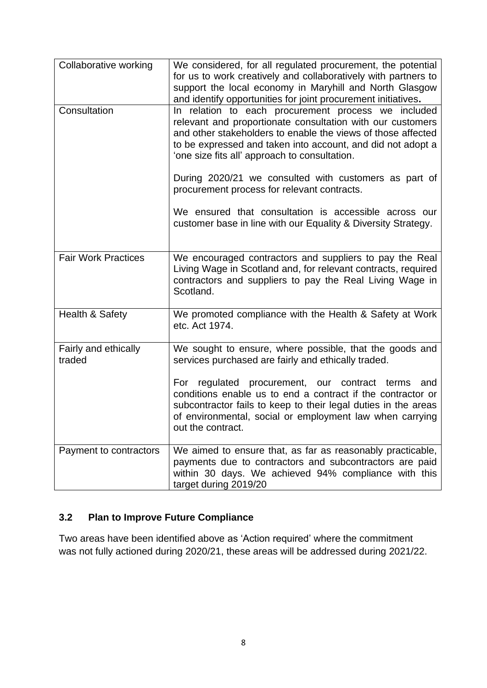| Collaborative working          | We considered, for all regulated procurement, the potential<br>for us to work creatively and collaboratively with partners to<br>support the local economy in Maryhill and North Glasgow<br>and identify opportunities for joint procurement initiatives.                                         |
|--------------------------------|---------------------------------------------------------------------------------------------------------------------------------------------------------------------------------------------------------------------------------------------------------------------------------------------------|
| Consultation                   | In relation to each procurement process we included<br>relevant and proportionate consultation with our customers<br>and other stakeholders to enable the views of those affected<br>to be expressed and taken into account, and did not adopt a<br>'one size fits all' approach to consultation. |
|                                | During 2020/21 we consulted with customers as part of<br>procurement process for relevant contracts.                                                                                                                                                                                              |
|                                | We ensured that consultation is accessible across our<br>customer base in line with our Equality & Diversity Strategy.                                                                                                                                                                            |
| <b>Fair Work Practices</b>     | We encouraged contractors and suppliers to pay the Real<br>Living Wage in Scotland and, for relevant contracts, required<br>contractors and suppliers to pay the Real Living Wage in<br>Scotland.                                                                                                 |
| Health & Safety                | We promoted compliance with the Health & Safety at Work<br>etc. Act 1974.                                                                                                                                                                                                                         |
| Fairly and ethically<br>traded | We sought to ensure, where possible, that the goods and<br>services purchased are fairly and ethically traded.                                                                                                                                                                                    |
|                                | For regulated procurement, our contract<br>terms<br>and<br>conditions enable us to end a contract if the contractor or<br>subcontractor fails to keep to their legal duties in the areas<br>of environmental, social or employment law when carrying<br>out the contract.                         |
| Payment to contractors         | We aimed to ensure that, as far as reasonably practicable,<br>payments due to contractors and subcontractors are paid<br>within 30 days. We achieved 94% compliance with this<br>target during 2019/20                                                                                            |

# **3.2 Plan to Improve Future Compliance**

Two areas have been identified above as 'Action required' where the commitment was not fully actioned during 2020/21, these areas will be addressed during 2021/22.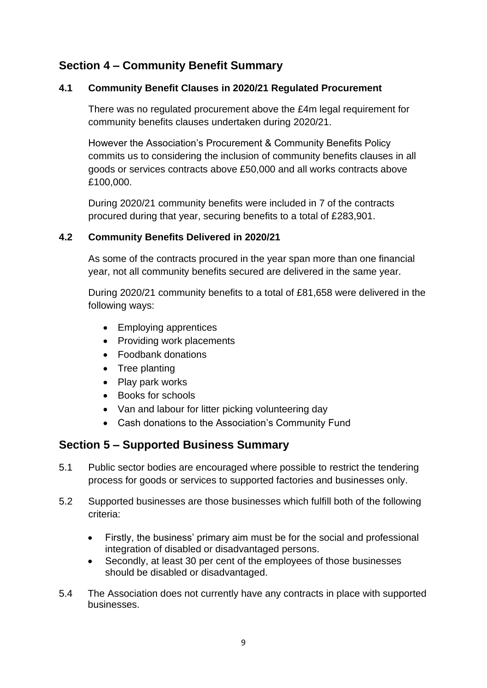# **Section 4 – Community Benefit Summary**

### **4.1 Community Benefit Clauses in 2020/21 Regulated Procurement**

There was no regulated procurement above the £4m legal requirement for community benefits clauses undertaken during 2020/21.

However the Association's Procurement & Community Benefits Policy commits us to considering the inclusion of community benefits clauses in all goods or services contracts above £50,000 and all works contracts above £100,000.

During 2020/21 community benefits were included in 7 of the contracts procured during that year, securing benefits to a total of £283,901.

### **4.2 Community Benefits Delivered in 2020/21**

As some of the contracts procured in the year span more than one financial year, not all community benefits secured are delivered in the same year.

During 2020/21 community benefits to a total of £81,658 were delivered in the following ways:

- Employing apprentices
- Providing work placements
- Foodbank donations
- Tree planting
- Play park works
- Books for schools
- Van and labour for litter picking volunteering day
- Cash donations to the Association's Community Fund

# **Section 5 – Supported Business Summary**

- 5.1 Public sector bodies are encouraged where possible to restrict the tendering process for goods or services to supported factories and businesses only.
- 5.2 Supported businesses are those businesses which fulfill both of the following criteria:
	- Firstly, the business' primary aim must be for the social and professional integration of disabled or disadvantaged persons.
	- Secondly, at least 30 per cent of the employees of those businesses should be disabled or disadvantaged.
- 5.4 The Association does not currently have any contracts in place with supported businesses.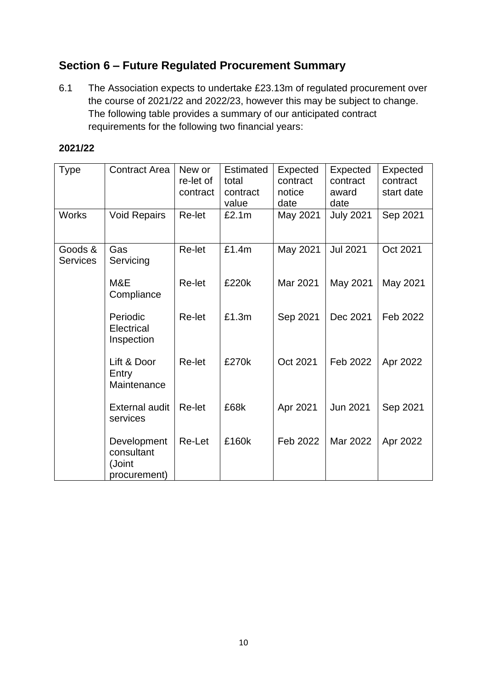# **Section 6 – Future Regulated Procurement Summary**

6.1 The Association expects to undertake £23.13m of regulated procurement over the course of 2021/22 and 2022/23, however this may be subject to change. The following table provides a summary of our anticipated contract requirements for the following two financial years:

#### **2021/22**

| <b>Type</b>                | <b>Contract Area</b>                                | New or<br>re-let of<br>contract | <b>Estimated</b><br>total<br>contract<br>value | Expected<br>contract<br>notice<br>date | Expected<br>contract<br>award<br>date | Expected<br>contract<br>start date |
|----------------------------|-----------------------------------------------------|---------------------------------|------------------------------------------------|----------------------------------------|---------------------------------------|------------------------------------|
| <b>Works</b>               | <b>Void Repairs</b>                                 | Re-let                          | £2.1m                                          | May 2021                               | <b>July 2021</b>                      | Sep 2021                           |
| Goods &<br><b>Services</b> | Gas<br>Servicing                                    | Re-let                          | £1.4m                                          | May 2021                               | <b>Jul 2021</b>                       | Oct 2021                           |
|                            | M&E<br>Compliance                                   | Re-let                          | £220k                                          | Mar 2021                               | May 2021                              | May 2021                           |
|                            | Periodic<br>Electrical<br>Inspection                | Re-let                          | £1.3m                                          | Sep 2021                               | Dec 2021                              | Feb 2022                           |
|                            | Lift & Door<br>Entry<br>Maintenance                 | Re-let                          | £270k                                          | Oct 2021                               | Feb 2022                              | Apr 2022                           |
|                            | <b>External audit</b><br>services                   | Re-let                          | £68k                                           | Apr 2021                               | Jun 2021                              | Sep 2021                           |
|                            | Development<br>consultant<br>(Joint<br>procurement) | Re-Let                          | £160k                                          | Feb 2022                               | Mar 2022                              | Apr 2022                           |